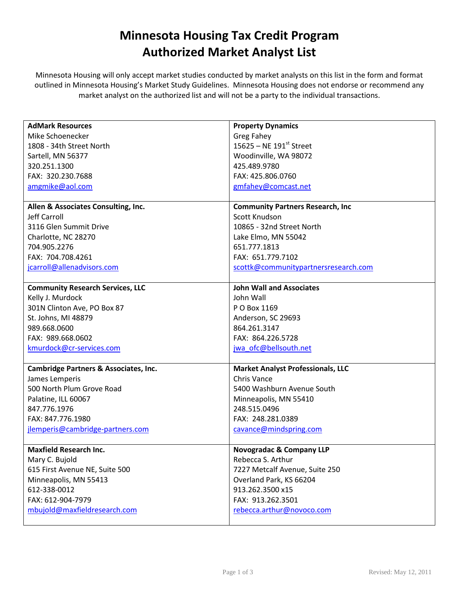## Minnesota Housing Tax Credit Program Authorized Market Analyst List

Minnesota Housing will only accept market studies conducted by market analysts on this list in the form and format outlined in Minnesota Housing's Market Study Guidelines. Minnesota Housing does not endorse or recommend any market analyst on the authorized list and will not be a party to the individual transactions.

| <b>AdMark Resources</b>                          | <b>Property Dynamics</b>                 |
|--------------------------------------------------|------------------------------------------|
| Mike Schoenecker                                 | <b>Greg Fahey</b>                        |
| 1808 - 34th Street North                         | 15625 – NE 191st Street                  |
| Sartell, MN 56377                                | Woodinville, WA 98072                    |
| 320.251.1300                                     | 425.489.9780                             |
| FAX: 320.230.7688                                | FAX: 425.806.0760                        |
| amgmike@aol.com                                  | gmfahey@comcast.net                      |
|                                                  |                                          |
| Allen & Associates Consulting, Inc.              | <b>Community Partners Research, Inc.</b> |
| Jeff Carroll                                     | Scott Knudson                            |
| 3116 Glen Summit Drive                           | 10865 - 32nd Street North                |
| Charlotte, NC 28270                              | Lake Elmo, MN 55042                      |
| 704.905.2276                                     | 651.777.1813                             |
| FAX: 704.708.4261                                | FAX: 651.779.7102                        |
| jcarroll@allenadvisors.com                       | scottk@communitypartnersresearch.com     |
|                                                  |                                          |
| <b>Community Research Services, LLC</b>          | <b>John Wall and Associates</b>          |
| Kelly J. Murdock                                 | John Wall                                |
| 301N Clinton Ave, PO Box 87                      | P O Box 1169                             |
| St. Johns, MI 48879                              | Anderson, SC 29693                       |
| 989.668.0600                                     | 864.261.3147                             |
| FAX: 989.668.0602                                | FAX: 864.226.5728                        |
| kmurdock@cr-services.com                         | jwa_ofc@bellsouth.net                    |
|                                                  |                                          |
| <b>Cambridge Partners &amp; Associates, Inc.</b> | <b>Market Analyst Professionals, LLC</b> |
| James Lemperis                                   | <b>Chris Vance</b>                       |
| 500 North Plum Grove Road                        | 5400 Washburn Avenue South               |
| Palatine, ILL 60067                              | Minneapolis, MN 55410                    |
| 847.776.1976                                     | 248.515.0496                             |
| FAX: 847.776.1980                                | FAX: 248.281.0389                        |
| jlemperis@cambridge-partners.com                 | cavance@mindspring.com                   |
|                                                  |                                          |
| <b>Maxfield Research Inc.</b>                    | <b>Novogradac &amp; Company LLP</b>      |
| Mary C. Bujold                                   | Rebecca S. Arthur                        |
| 615 First Avenue NE, Suite 500                   | 7227 Metcalf Avenue, Suite 250           |
| Minneapolis, MN 55413                            | Overland Park, KS 66204                  |
| 612-338-0012                                     | 913.262.3500 x15                         |
| FAX: 612-904-7979                                | FAX: 913.262.3501                        |
| mbujold@maxfieldresearch.com                     | rebecca.arthur@novoco.com                |
|                                                  |                                          |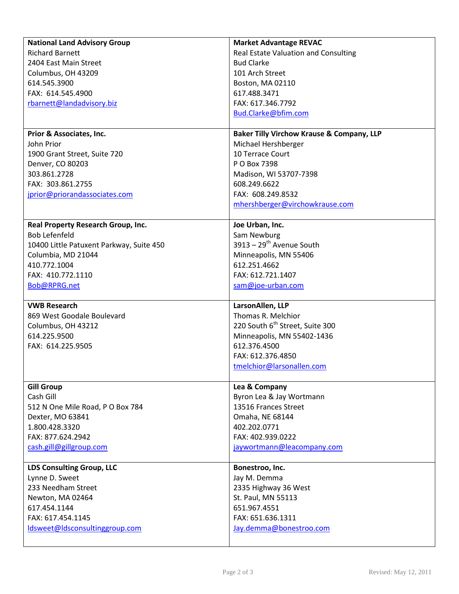| <b>National Land Advisory Group</b>      | <b>Market Advantage REVAC</b>                        |
|------------------------------------------|------------------------------------------------------|
| <b>Richard Barnett</b>                   | Real Estate Valuation and Consulting                 |
| 2404 East Main Street                    | <b>Bud Clarke</b>                                    |
| Columbus, OH 43209                       | 101 Arch Street                                      |
| 614.545.3900                             | Boston, MA 02110                                     |
| FAX: 614.545.4900                        | 617.488.3471                                         |
| rbarnett@landadvisory.biz                | FAX: 617.346.7792                                    |
|                                          | Bud.Clarke@bfim.com                                  |
|                                          |                                                      |
| Prior & Associates, Inc.                 | <b>Baker Tilly Virchow Krause &amp; Company, LLP</b> |
| John Prior                               | Michael Hershberger                                  |
| 1900 Grant Street, Suite 720             | 10 Terrace Court                                     |
| Denver, CO 80203                         | P O Box 7398                                         |
| 303.861.2728                             | Madison, WI 53707-7398                               |
| FAX: 303.861.2755                        | 608.249.6622                                         |
| jprior@priorandassociates.com            | FAX: 608.249.8532                                    |
|                                          | mhershberger@virchowkrause.com                       |
|                                          |                                                      |
| Real Property Research Group, Inc.       | Joe Urban, Inc.                                      |
| <b>Bob Lefenfeld</b>                     | Sam Newburg                                          |
| 10400 Little Patuxent Parkway, Suite 450 | $3913 - 29^{th}$ Avenue South                        |
| Columbia, MD 21044                       | Minneapolis, MN 55406                                |
| 410.772.1004                             | 612.251.4662                                         |
| FAX: 410.772.1110                        | FAX: 612.721.1407                                    |
| Bob@RPRG.net                             | sam@joe-urban.com                                    |
|                                          |                                                      |
| <b>VWB Research</b>                      | LarsonAllen, LLP                                     |
| 869 West Goodale Boulevard               | Thomas R. Melchior                                   |
| Columbus, OH 43212                       | 220 South 6 <sup>th</sup> Street, Suite 300          |
| 614.225.9500                             | Minneapolis, MN 55402-1436                           |
| FAX: 614.225.9505                        | 612.376.4500                                         |
|                                          | FAX: 612.376.4850                                    |
|                                          | tmelchior@larsonallen.com                            |
|                                          |                                                      |
| <b>Gill Group</b>                        | Lea & Company                                        |
| Cash Gill                                | Byron Lea & Jay Wortmann                             |
| 512 N One Mile Road, P O Box 784         | 13516 Frances Street                                 |
| Dexter, MO 63841                         | Omaha, NE 68144                                      |
| 1.800.428.3320                           | 402.202.0771                                         |
| FAX: 877.624.2942                        | FAX: 402.939.0222                                    |
| cash.gill@gillgroup.com                  | jaywortmann@leacompany.com                           |
|                                          |                                                      |
| <b>LDS Consulting Group, LLC</b>         | Bonestroo, Inc.                                      |
| Lynne D. Sweet                           | Jay M. Demma                                         |
| 233 Needham Street                       | 2335 Highway 36 West                                 |
| Newton, MA 02464                         | St. Paul, MN 55113                                   |
| 617.454.1144                             | 651.967.4551                                         |
| FAX: 617.454.1145                        | FAX: 651.636.1311                                    |
| ldsweet@ldsconsultinggroup.com           | Jay.demma@bonestroo.com                              |
|                                          |                                                      |